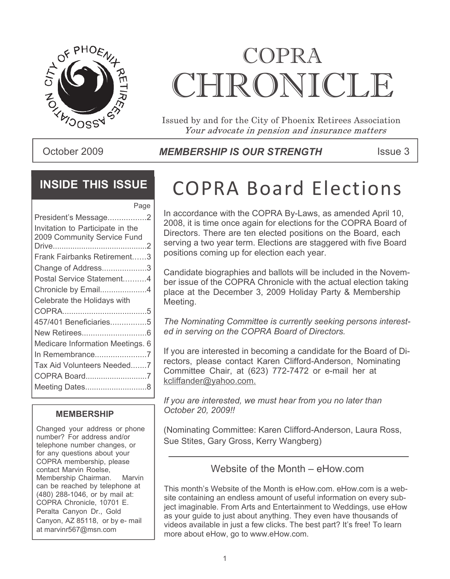

# COPRA CHRONICLE

Issued by and for the City of Phoenix Retirees Association Your advocate in pension and insurance matters

### October 2009 **ISSUE AT A MEMBERSHIP IS OUR STRENGTH** ISSue 3

### **INSIDE THIS ISSUE**

| Page                             |
|----------------------------------|
| President's Message2             |
| Invitation to Participate in the |
| 2009 Community Service Fund      |
|                                  |
| Frank Fairbanks Retirement3      |
| Change of Address3               |
| Postal Service Statement4        |
| Chronicle by Email4              |
| Celebrate the Holidays with      |
|                                  |
| 457/401 Beneficiaries5           |
|                                  |
| Medicare Information Meetings. 6 |
| In Remembrance7                  |
| Tax Aid Volunteers Needed7       |
| COPRA Board7                     |
| Meeting Dates8                   |
|                                  |

#### **MEMBERSHIP**

Changed your address or phone number? For address and/or telephone number changes, or for any questions about your COPRA membership, please contact Marvin Roelse, Membership Chairman. Marvin can be reached by telephone at (480) 288-1046, or by mail at: COPRA Chronicle, 10701 E. Peralta Canyon Dr., Gold Canyon, AZ 85118, or by e- mail at marvinr567@msn.com

# COPRA Board Elections

In accordance with the COPRA By-Laws, as amended April 10, 2008, it is time once again for elections for the COPRA Board of Directors. There are ten elected positions on the Board, each serving a two year term. Elections are staggered with five Board positions coming up for election each year.

Candidate biographies and ballots will be included in the November issue of the COPRA Chronicle with the actual election taking place at the December 3, 2009 Holiday Party & Membership Meeting.

*The Nominating Committee is currently seeking persons interested in serving on the COPRA Board of Directors.*

If you are interested in becoming a candidate for the Board of Directors, please contact Karen Clifford-Anderson, Nominating Committee Chair, at (623) 772-7472 or e-mail her at kcliffander@yahoo.com.

*If you are interested, we must hear from you no later than October 20, 2009!!*

(Nominating Committee: Karen Clifford-Anderson, Laura Ross, Sue Stites, Gary Gross, Kerry Wangberg)

### Website of the Month – eHow.com

This month's Website of the Month is eHow.com. eHow.com is a website containing an endless amount of useful information on every subject imaginable. From Arts and Entertainment to Weddings, use eHow as your guide to just about anything. They even have thousands of videos available in just a few clicks. The best part? It's free! To learn more about eHow, go to www.eHow.com.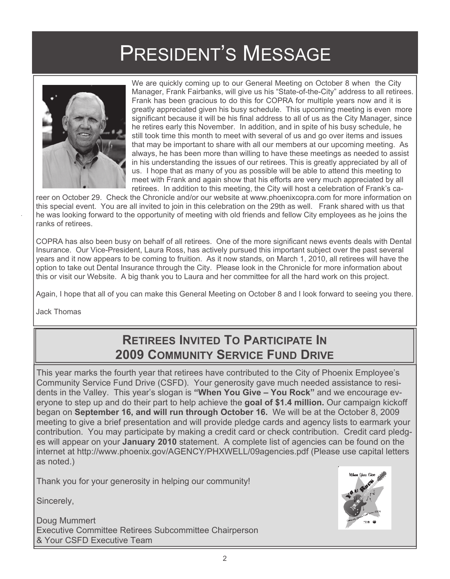# PRESIDENT'S MESSAGE



 We are quickly coming up to our General Meeting on October 8 when the City Manager, Frank Fairbanks, will give us his "State-of-the-City" address to all retirees. Frank has been gracious to do this for COPRA for multiple years now and it is greatly appreciated given his busy schedule. This upcoming meeting is even more significant because it will be his final address to all of us as the City Manager, since he retires early this November. In addition, and in spite of his busy schedule, he still took time this month to meet with several of us and go over items and issues that may be important to share with all our members at our upcoming meeting. As always, he has been more than willing to have these meetings as needed to assist in his understanding the issues of our retirees. This is greatly appreciated by all of us. I hope that as many of you as possible will be able to attend this meeting to meet with Frank and again show that his efforts are very much appreciated by all retirees. In addition to this meeting, the City will host a celebration of Frank's ca-

reer on October 29. Check the Chronicle and/or our website at www.phoenixcopra.com for more information on this special event. You are all invited to join in this celebration on the 29th as well. Frank shared with us that he was looking forward to the opportunity of meeting with old friends and fellow City employees as he joins the ranks of retirees.

COPRA has also been busy on behalf of all retirees. One of the more significant news events deals with Dental Insurance. Our Vice-President, Laura Ross, has actively pursued this important subject over the past several years and it now appears to be coming to fruition. As it now stands, on March 1, 2010, all retirees will have the option to take out Dental Insurance through the City. Please look in the Chronicle for more information about this or visit our Website. A big thank you to Laura and her committee for all the hard work on this project.

Again, I hope that all of you can make this General Meeting on October 8 and I look forward to seeing you there.

Jack Thomas

### **RETIREES INVITED TO PARTICIPATE IN 2009 COMMUNITY SERVICE FUND DRIVE**

This year marks the fourth year that retirees have contributed to the City of Phoenix Employee's Community Service Fund Drive (CSFD). Your generosity gave much needed assistance to residents in the Valley. This year's slogan is **"When You Give – You Rock"** and we encourage everyone to step up and do their part to help achieve the **goal of \$1.4 million.** Our campaign kickoff began on **September 16, and will run through October 16.** We will be at the October 8, 2009 meeting to give a brief presentation and will provide pledge cards and agency lists to earmark your contribution. You may participate by making a credit card or check contribution. Credit card pledges will appear on your **January 2010** statement. A complete list of agencies can be found on the internet at http://www.phoenix.gov/AGENCY/PHXWELL/09agencies.pdf (Please use capital letters as noted.)

Thank you for your generosity in helping our community!

Sincerely,

Doug Mummert Executive Committee Retirees Subcommittee Chairperson & Your CSFD Executive Team

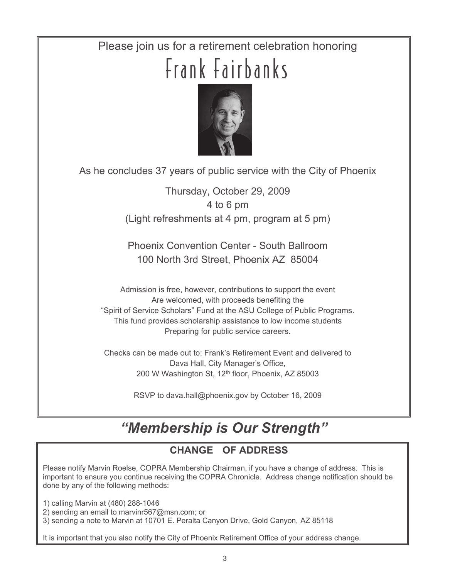## Please join us for a retirement celebration honoring Frank Fairbanks



As he concludes 37 years of public service with the City of Phoenix

Thursday, October 29, 2009 4 to 6 pm (Light refreshments at 4 pm, program at 5 pm)

Phoenix Convention Center - South Ballroom 100 North 3rd Street, Phoenix AZ 85004

Admission is free, however, contributions to support the event Are welcomed, with proceeds benefiting the "Spirit of Service Scholars" Fund at the ASU College of Public Programs. This fund provides scholarship assistance to low income students Preparing for public service careers.

Checks can be made out to: Frank's Retirement Event and delivered to Dava Hall, City Manager's Office, 200 W Washington St, 12<sup>th</sup> floor, Phoenix, AZ 85003

RSVP to dava.hall@phoenix.gov by October 16, 2009

### *"Membership is Our Strength"*

### **CHANGE OF ADDRESS**

Please notify Marvin Roelse, COPRA Membership Chairman, if you have a change of address. This is important to ensure you continue receiving the COPRA Chronicle. Address change notification should be done by any of the following methods:

1) calling Marvin at (480) 288-1046

2) sending an email to marvinr567@msn.com; or

3) sending a note to Marvin at 10701 E. Peralta Canyon Drive, Gold Canyon, AZ 85118

It is important that you also notify the City of Phoenix Retirement Office of your address change.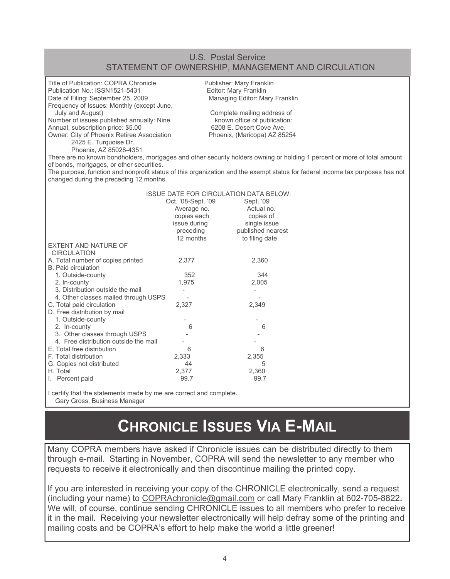#### U.S. Postal Service STATEMENT OF OWNERSHIP, MANAGEMENT AND CIRCULATION

| Title of Publication: COPRA Chronicle<br>Publisher: Mary Franklin<br>Editor: Mary Franklin<br>Publication No.: ISSN1521-5431<br>Managing Editor: Mary Franklin<br>Date of Filing: September 25, 2009<br>Frequency of Issues: Monthly (except June,<br>July and August)<br>Complete mailing address of<br>Number of issues published annually: Nine<br>known office of publication:<br>Annual, subscription price: \$5.00<br>6208 E. Desert Cove Ave.<br>Owner: City of Phoenix Retiree Association<br>Phoenix, (Maricopa) AZ 85254<br>2425 E. Turquoise Dr.<br>Phoenix, AZ 85028-4351<br>There are no known bondholders, mortgages and other security holders owning or holding 1 percent or more of total amount<br>of bonds, mortgages, or other securities.<br>The purpose, function and nonprofit status of this organization and the exempt status for federal income tax purposes has not<br>changed during the preceding 12 months. |              |                   |  |  |
|--------------------------------------------------------------------------------------------------------------------------------------------------------------------------------------------------------------------------------------------------------------------------------------------------------------------------------------------------------------------------------------------------------------------------------------------------------------------------------------------------------------------------------------------------------------------------------------------------------------------------------------------------------------------------------------------------------------------------------------------------------------------------------------------------------------------------------------------------------------------------------------------------------------------------------------------|--------------|-------------------|--|--|
| <b>ISSUE DATE FOR CIRCULATION DATA BELOW:</b>                                                                                                                                                                                                                                                                                                                                                                                                                                                                                                                                                                                                                                                                                                                                                                                                                                                                                              |              |                   |  |  |
| Oct. '08-Sept. '09<br>Sept. '09                                                                                                                                                                                                                                                                                                                                                                                                                                                                                                                                                                                                                                                                                                                                                                                                                                                                                                            |              |                   |  |  |
|                                                                                                                                                                                                                                                                                                                                                                                                                                                                                                                                                                                                                                                                                                                                                                                                                                                                                                                                            | Average no.  | Actual no.        |  |  |
|                                                                                                                                                                                                                                                                                                                                                                                                                                                                                                                                                                                                                                                                                                                                                                                                                                                                                                                                            | copies each  | copies of         |  |  |
|                                                                                                                                                                                                                                                                                                                                                                                                                                                                                                                                                                                                                                                                                                                                                                                                                                                                                                                                            | issue during | single issue      |  |  |
|                                                                                                                                                                                                                                                                                                                                                                                                                                                                                                                                                                                                                                                                                                                                                                                                                                                                                                                                            | preceding    | published nearest |  |  |
|                                                                                                                                                                                                                                                                                                                                                                                                                                                                                                                                                                                                                                                                                                                                                                                                                                                                                                                                            | 12 months    | to filing date    |  |  |
| <b>EXTENT AND NATURE OF</b>                                                                                                                                                                                                                                                                                                                                                                                                                                                                                                                                                                                                                                                                                                                                                                                                                                                                                                                |              |                   |  |  |
| <b>CIRCULATION</b>                                                                                                                                                                                                                                                                                                                                                                                                                                                                                                                                                                                                                                                                                                                                                                                                                                                                                                                         |              |                   |  |  |
| A. Total number of copies printed<br><b>B.</b> Paid circulation                                                                                                                                                                                                                                                                                                                                                                                                                                                                                                                                                                                                                                                                                                                                                                                                                                                                            | 2,377        | 2,360             |  |  |
|                                                                                                                                                                                                                                                                                                                                                                                                                                                                                                                                                                                                                                                                                                                                                                                                                                                                                                                                            |              | 344               |  |  |
| 1. Outside-county                                                                                                                                                                                                                                                                                                                                                                                                                                                                                                                                                                                                                                                                                                                                                                                                                                                                                                                          | 352          |                   |  |  |
| 2. In-county<br>3. Distribution outside the mail                                                                                                                                                                                                                                                                                                                                                                                                                                                                                                                                                                                                                                                                                                                                                                                                                                                                                           | 1,975        | 2,005             |  |  |
|                                                                                                                                                                                                                                                                                                                                                                                                                                                                                                                                                                                                                                                                                                                                                                                                                                                                                                                                            |              |                   |  |  |
| 4. Other classes mailed through USPS<br>C. Total paid circulation                                                                                                                                                                                                                                                                                                                                                                                                                                                                                                                                                                                                                                                                                                                                                                                                                                                                          | 2,327        | 2,349             |  |  |
| D. Free distribution by mail                                                                                                                                                                                                                                                                                                                                                                                                                                                                                                                                                                                                                                                                                                                                                                                                                                                                                                               |              |                   |  |  |
| 1. Outside-county                                                                                                                                                                                                                                                                                                                                                                                                                                                                                                                                                                                                                                                                                                                                                                                                                                                                                                                          |              |                   |  |  |
| 2. In-county                                                                                                                                                                                                                                                                                                                                                                                                                                                                                                                                                                                                                                                                                                                                                                                                                                                                                                                               | 6            | 6                 |  |  |
| 3. Other classes through USPS                                                                                                                                                                                                                                                                                                                                                                                                                                                                                                                                                                                                                                                                                                                                                                                                                                                                                                              |              |                   |  |  |
| 4. Free distribution outside the mail                                                                                                                                                                                                                                                                                                                                                                                                                                                                                                                                                                                                                                                                                                                                                                                                                                                                                                      |              |                   |  |  |
| E. Total free distribution                                                                                                                                                                                                                                                                                                                                                                                                                                                                                                                                                                                                                                                                                                                                                                                                                                                                                                                 | 6            | 6                 |  |  |
| F. Total distribution                                                                                                                                                                                                                                                                                                                                                                                                                                                                                                                                                                                                                                                                                                                                                                                                                                                                                                                      | 2,333        | 2,355             |  |  |
| G. Copies not distributed                                                                                                                                                                                                                                                                                                                                                                                                                                                                                                                                                                                                                                                                                                                                                                                                                                                                                                                  | 44           | 5                 |  |  |
| H. Total                                                                                                                                                                                                                                                                                                                                                                                                                                                                                                                                                                                                                                                                                                                                                                                                                                                                                                                                   | 2,377        | 2,360             |  |  |
| I. Percent paid                                                                                                                                                                                                                                                                                                                                                                                                                                                                                                                                                                                                                                                                                                                                                                                                                                                                                                                            | 99.7         | 99.7              |  |  |
|                                                                                                                                                                                                                                                                                                                                                                                                                                                                                                                                                                                                                                                                                                                                                                                                                                                                                                                                            |              |                   |  |  |

I certify that the statements made by me are correct and complete. Gary Gross, Business Manager

### **CHRONICLE ISSUES VIA E-MAIL**

Many COPRA members have asked if Chronicle issues can be distributed directly to them through e-mail. Starting in November, COPRA will send the newsletter to any member who requests to receive it electronically and then discontinue mailing the printed copy.

If you are interested in receiving your copy of the CHRONICLE electronically, send a request (including your name) to COPRAchronicle@gmail.com or call Mary Franklin at 602-705-8822**.** We will, of course, continue sending CHRONICLE issues to all members who prefer to receive it in the mail. Receiving your newsletter electronically will help defray some of the printing and mailing costs and be COPRA's effort to help make the world a little greener!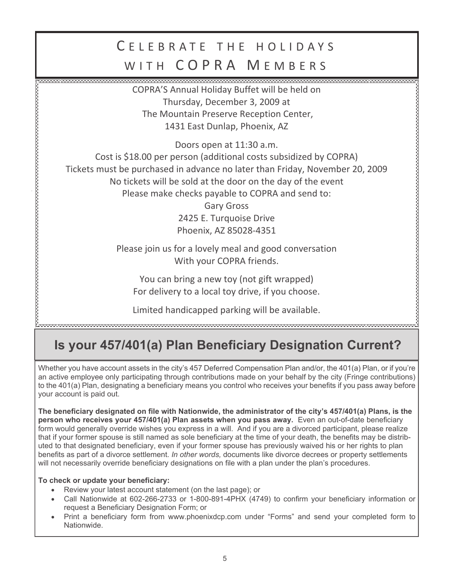### C F L F B R A T F T H F H O L I D A Y S WITH COPRA MEMBERS

COPRA'S Annual Holiday Buffet will be held on Thursday, December 3, 2009 at The Mountain Preserve Reception Center, 1431 East Dunlap, Phoenix, AZ

Doors open at 11:30 a.m.

Cost is \$18.00 per person (additional costs subsidized by COPRA) Tickets must be purchased in advance no later than Friday, November 20, 2009

No tickets will be sold at the door on the day of the event

Please make checks payable to COPRA and send to:

Gary Gross 2425 E. Turquoise Drive Phoenix, AZ 85028-4351 Please join us for a lovely meal and good conversation With your COPRA friends.

You can bring a new toy (not gift wrapped) For delivery to a local toy drive, if you choose.

Limited handicapped parking will be available.

### **Is your 457/401(a) Plan Beneficiary Designation Current?**

Whether you have account assets in the city's 457 Deferred Compensation Plan and/or, the 401(a) Plan, or if you're an active employee only participating through contributions made on your behalf by the city (Fringe contributions) to the 401(a) Plan, designating a beneficiary means you control who receives your benefits if you pass away before your account is paid out.

**The beneficiary designated on file with Nationwide, the administrator of the city's 457/401(a) Plans, is the person who receives your 457/401(a) Plan assets when you pass away.** Even an out-of-date beneficiary form would generally override wishes you express in a will. And if you are a divorced participant, please realize that if your former spouse is still named as sole beneficiary at the time of your death, the benefits may be distributed to that designated beneficiary, even if your former spouse has previously waived his or her rights to plan benefits as part of a divorce settlement. *In other words,* documents like divorce decrees or property settlements will not necessarily override beneficiary designations on file with a plan under the plan's procedures.

#### **To check or update your beneficiary:**

- Review your latest account statement (on the last page); or
- Call Nationwide at 602-266-2733 or 1-800-891-4PHX (4749) to confirm your beneficiary information or request a Beneficiary Designation Form; or
- Print a beneficiary form from www.phoenixdcp.com under "Forms" and send your completed form to Nationwide.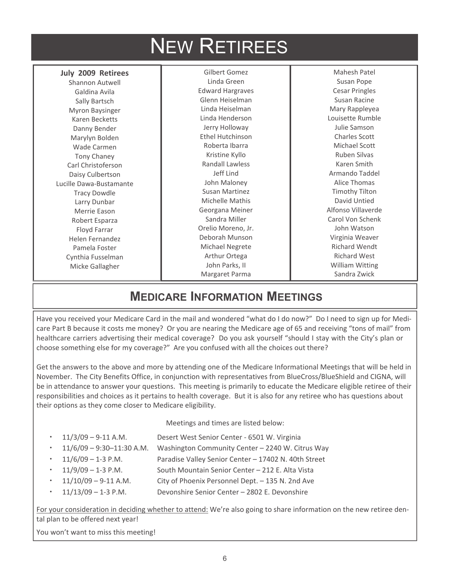# NEW RETIREES

#### **July 2009 Retirees**

Shannon Autwell Galdina Avila Sally Bartsch Myron Baysinger Karen Becketts Danny Bender Marylyn Bolden Wade Carmen Tony Chaney Carl Christoferson Daisy Culbertson Lucille Dawa-Bustamante Tracy Dowdle Larry Dunbar Merrie Eason Robert Esparza Floyd Farrar Helen Fernandez Pamela Foster Cynthia Fusselman Micke Gallagher

Gilbert Gomez Linda Green Edward Hargraves Glenn Heiselman Linda Heiselman Linda Henderson Jerry Holloway Ethel Hutchinson Roberta Ibarra Kristine Kyllo Randall Lawless Jeff Lind John Maloney Susan Martinez Michelle Mathis Georgana Meiner Sandra Miller Orelio Moreno, Jr. Deborah Munson Michael Negrete Arthur Ortega John Parks, II Margaret Parma

Mahesh Patel Susan Pope Cesar Pringles Susan Racine Mary Rappleyea Louisette Rumble Julie Samson Charles Scott Michael Scott Ruben Silvas Karen Smith Armando Taddel Alice Thomas Timothy Tilton David Untied Alfonso Villaverde Carol Von Schenk John Watson Virginia Weaver Richard Wendt Richard West William Witting Sandra Zwick

### **MEDICARE INFORMATION MEETINGS**

Have you received your Medicare Card in the mail and wondered "what do I do now?" Do I need to sign up for Medicare Part B because it costs me money? Or you are nearing the Medicare age of 65 and receiving "tons of mail" from healthcare carriers advertising their medical coverage? Do you ask yourself "should I stay with the City's plan or choose something else for my coverage?" Are you confused with all the choices out there?

Get the answers to the above and more by attending one of the Medicare Informational Meetings that will be held in November. The City Benefits Office, in conjunction with representatives from BlueCross/BlueShield and CIGNA, will be in attendance to answer your questions. This meeting is primarily to educate the Medicare eligible retiree of their responsibilities and choices as it pertains to health coverage. But it is also for any retiree who has questions about their options as they come closer to Medicare eligibility.

Meetings and times are listed below:

- 11/3/09 9-11 A.M. Desert West Senior Center 6501 W. Virginia
- 11/6/09 9:30–11:30 A.M. Washington Community Center 2240 W. Citrus Way
- 11/6/09 1-3 P.M. Paradise Valley Senior Center 17402 N. 40th Street
- 11/9/09 1-3 P.M. South Mountain Senior Center 212 E. Alta Vista
- 11/10/09 9-11 A.M. City of Phoenix Personnel Dept. 135 N. 2nd Ave
- 11/13/09 1-3 P.M. Devonshire Senior Center 2802 E. Devonshire

For your consideration in deciding whether to attend: We're also going to share information on the new retiree dental plan to be offered next year!

You won't want to miss this meeting!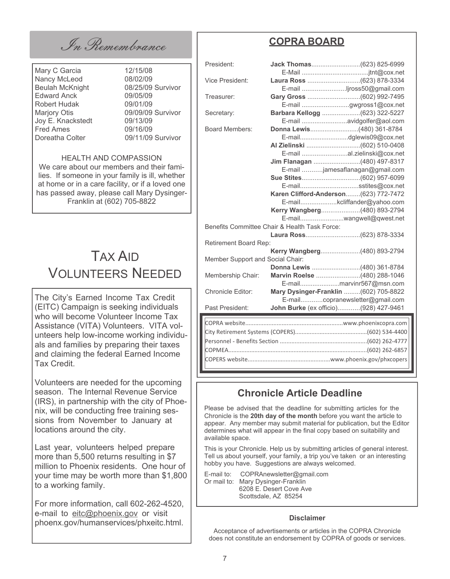In Remembrance

Mary C Garcia 12/15/08 Nancy McLeod 08/02/09<br>Beulah McKnight 08/25/09 Survivor Beulah McKnight Edward Anck 09/05/09 Robert Hudak 09/01/09 Marjory Otis 09/09/09 Survivor Joy E. Knackstedt 09/13/09 Fred Ames<br>Doreatha Colter (19/11/09)

09/11/09 Survivor

#### HEALTH AND COMPASSION

We care about our members and their families. If someone in your family is ill, whether at home or in a care facility, or if a loved one has passed away, please call Mary Dysinger-Franklin at (602) 705-8822

### TAX AID VOLUNTEERS NEEDED

The City's Earned Income Tax Credit (EITC) Campaign is seeking individuals who will become Volunteer Income Tax Assistance (VITA) Volunteers. VITA volunteers help low-income working individuals and families by preparing their taxes and claiming the federal Earned Income Tax Credit.

Volunteers are needed for the upcoming season. The Internal Revenue Service (IRS), in partnership with the city of Phoenix, will be conducting free training sessions from November to January at locations around the city.

Last year, volunteers helped prepare more than 5,500 returns resulting in \$7 million to Phoenix residents. One hour of your time may be worth more than \$1,800 to a working family.

For more information, call 602-262-4520, e-mail to eitc@phoenix.gov or visit phoenx.gov/humanservices/phxeitc.html.

### **COPRA BOARD**

| President:                                    |  |                                       |  |  |
|-----------------------------------------------|--|---------------------------------------|--|--|
|                                               |  |                                       |  |  |
| Vice President:                               |  |                                       |  |  |
|                                               |  | E-mail jross50@gmail.com              |  |  |
| Treasurer:                                    |  |                                       |  |  |
|                                               |  | E-mail gwgross1@cox.net               |  |  |
| Secretary:                                    |  | Barbara Kellogg (623) 322-5227        |  |  |
|                                               |  | E-mail avidgolfer@aol.com             |  |  |
| Board Members:                                |  | Donna Lewis(480) 361-8784             |  |  |
|                                               |  |                                       |  |  |
|                                               |  |                                       |  |  |
|                                               |  | E-mail al.zielinski@cox.net           |  |  |
|                                               |  | Jim Flanagan (480) 497-8317           |  |  |
|                                               |  | E-mail jamesaflanagan@gmail.com       |  |  |
|                                               |  |                                       |  |  |
|                                               |  | E-mailsstites@cox.net                 |  |  |
|                                               |  | Karen Clifford-Anderson(623) 772-7472 |  |  |
|                                               |  | E-mailkcliffander@yahoo.com           |  |  |
|                                               |  | Kerry Wangberg(480) 893-2794          |  |  |
|                                               |  | E-mailwangwell@qwest.net              |  |  |
| Benefits Committee Chair & Health Task Force: |  |                                       |  |  |
|                                               |  |                                       |  |  |
| Retirement Board Rep:                         |  |                                       |  |  |
|                                               |  | Kerry Wangberg(480) 893-2794          |  |  |
| Member Support and Social Chair:              |  |                                       |  |  |
|                                               |  | Donna Lewis (480) 361-8784            |  |  |
| Membership Chair:                             |  | Marvin Roelse (480) 288-1046          |  |  |
|                                               |  | E-mailmarvinr567@msn.com              |  |  |
| <b>Chronicle Editor:</b>                      |  | Mary Dysinger-Franklin (602) 705-8822 |  |  |
|                                               |  | E-mailcopranewsletter@gmail.com       |  |  |
| Past President:                               |  | John Burke (ex officio)(928) 427-9461 |  |  |
|                                               |  |                                       |  |  |
|                                               |  |                                       |  |  |
|                                               |  |                                       |  |  |
|                                               |  |                                       |  |  |

### **Chronicle Article Deadline**

Please be advised that the deadline for submitting articles for the Chronicle is the **20th day of the month** before you want the article to appear. Any member may submit material for publication, but the Editor determines what will appear in the final copy based on suitability and available space.

COPMEA.....................................................................................(602) 262-6857 COPERS website..................................................www.phoenix.gov/phxcopers

This is your Chronicle. Help us by submitting articles of general interest. Tell us about yourself, your family, a trip you've taken or an interesting hobby you have. Suggestions are always welcomed.

E-mail to: COPRAnewsletter@gmail.com Or mail to: Mary Dysinger-Franklin 6208 E. Desert Cove Ave Scottsdale, AZ 85254

#### **Disclaimer**

Acceptance of advertisements or articles in the COPRA Chronicle does not constitute an endorsement by COPRA of goods or services.